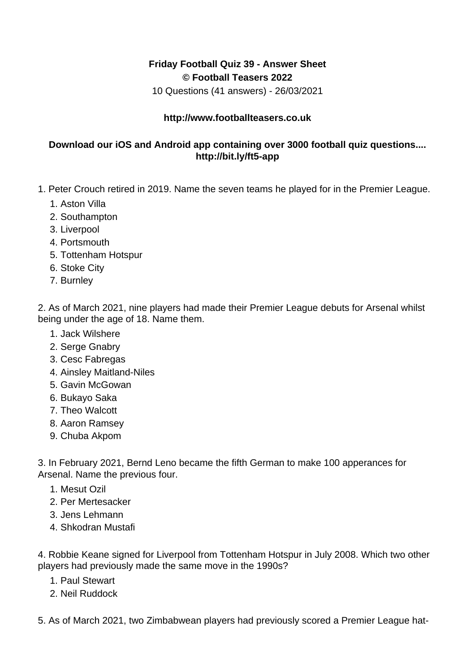## **Friday Football Quiz 39 - Answer Sheet © Football Teasers 2022**

10 Questions (41 answers) - 26/03/2021

## **http://www.footballteasers.co.uk**

## **Download our iOS and Android app containing over 3000 football quiz questions.... http://bit.ly/ft5-app**

- 1. Peter Crouch retired in 2019. Name the seven teams he played for in the Premier League.
	- 1. Aston Villa
	- 2. Southampton
	- 3. Liverpool
	- 4. Portsmouth
	- 5. Tottenham Hotspur
	- 6. Stoke City
	- 7. Burnley

2. As of March 2021, nine players had made their Premier League debuts for Arsenal whilst being under the age of 18. Name them.

- 1. Jack Wilshere
- 2. Serge Gnabry
- 3. Cesc Fabregas
- 4. Ainsley Maitland-Niles
- 5. Gavin McGowan
- 6. Bukayo Saka
- 7. Theo Walcott
- 8. Aaron Ramsey
- 9. Chuba Akpom

3. In February 2021, Bernd Leno became the fifth German to make 100 apperances for Arsenal. Name the previous four.

- 1. Mesut Ozil
- 2. Per Mertesacker
- 3. Jens Lehmann
- 4. Shkodran Mustafi

4. Robbie Keane signed for Liverpool from Tottenham Hotspur in July 2008. Which two other players had previously made the same move in the 1990s?

- 1. Paul Stewart
- 2. Neil Ruddock

5. As of March 2021, two Zimbabwean players had previously scored a Premier League hat-